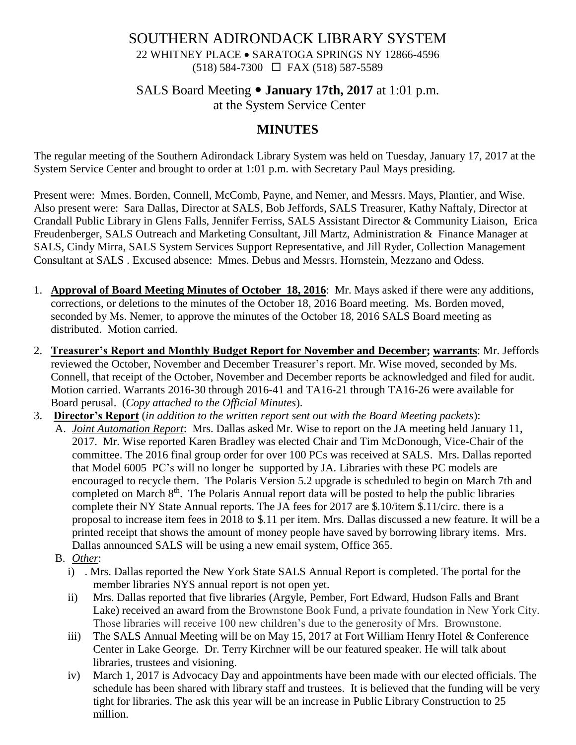## SOUTHERN ADIRONDACK LIBRARY SYSTEM 22 WHITNEY PLACE • SARATOGA SPRINGS NY 12866-4596 (518) 584-7300 FAX (518) 587-5589

## SALS Board Meeting **January 17th, 2017** at 1:01 p.m. at the System Service Center

# **MINUTES**

The regular meeting of the Southern Adirondack Library System was held on Tuesday, January 17, 2017 at the System Service Center and brought to order at 1:01 p.m. with Secretary Paul Mays presiding.

Present were: Mmes. Borden, Connell, McComb, Payne, and Nemer, and Messrs. Mays, Plantier, and Wise. Also present were: Sara Dallas, Director at SALS, Bob Jeffords, SALS Treasurer, Kathy Naftaly, Director at Crandall Public Library in Glens Falls, Jennifer Ferriss, SALS Assistant Director & Community Liaison, Erica Freudenberger, SALS Outreach and Marketing Consultant, Jill Martz, Administration & Finance Manager at SALS, Cindy Mirra, SALS System Services Support Representative, and Jill Ryder, Collection Management Consultant at SALS . Excused absence: Mmes. Debus and Messrs. Hornstein, Mezzano and Odess.

- 1. **Approval of Board Meeting Minutes of October 18, 2016**: Mr. Mays asked if there were any additions, corrections, or deletions to the minutes of the October 18, 2016 Board meeting. Ms. Borden moved, seconded by Ms. Nemer, to approve the minutes of the October 18, 2016 SALS Board meeting as distributed. Motion carried.
- 2. **Treasurer's Report and Monthly Budget Report for November and December; warrants**: Mr. Jeffords reviewed the October, November and December Treasurer's report. Mr. Wise moved, seconded by Ms. Connell, that receipt of the October, November and December reports be acknowledged and filed for audit. Motion carried. Warrants 2016-30 through 2016-41 and TA16-21 through TA16-26 were available for Board perusal. (*Copy attached to the Official Minutes*).
- 3. **Director's Report** (*in addition to the written report sent out with the Board Meeting packets*):
	- A. *Joint Automation Report*: Mrs. Dallas asked Mr. Wise to report on the JA meeting held January 11, 2017. Mr. Wise reported Karen Bradley was elected Chair and Tim McDonough, Vice-Chair of the committee. The 2016 final group order for over 100 PCs was received at SALS. Mrs. Dallas reported that Model 6005 PC's will no longer be supported by JA. Libraries with these PC models are encouraged to recycle them. The Polaris Version 5.2 upgrade is scheduled to begin on March 7th and completed on March 8<sup>th</sup>. The Polaris Annual report data will be posted to help the public libraries complete their NY State Annual reports. The JA fees for 2017 are \$.10/item \$.11/circ. there is a proposal to increase item fees in 2018 to \$.11 per item. Mrs. Dallas discussed a new feature. It will be a printed receipt that shows the amount of money people have saved by borrowing library items. Mrs. Dallas announced SALS will be using a new email system, Office 365.
		- B. *Other*:
			- i) . Mrs. Dallas reported the New York State SALS Annual Report is completed. The portal for the member libraries NYS annual report is not open yet.
			- ii) Mrs. Dallas reported that five libraries (Argyle, Pember, Fort Edward, Hudson Falls and Brant Lake) received an award from the Brownstone Book Fund, a private foundation in New York City. Those libraries will receive 100 new children's due to the generosity of Mrs. Brownstone.
			- iii) The SALS Annual Meeting will be on May 15, 2017 at Fort William Henry Hotel & Conference Center in Lake George. Dr. Terry Kirchner will be our featured speaker. He will talk about libraries, trustees and visioning.
			- iv) March 1, 2017 is Advocacy Day and appointments have been made with our elected officials. The schedule has been shared with library staff and trustees. It is believed that the funding will be very tight for libraries. The ask this year will be an increase in Public Library Construction to 25 million.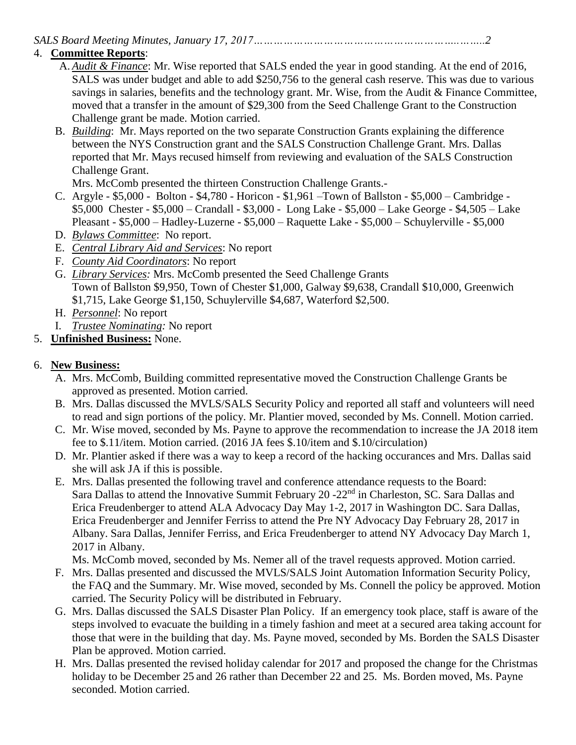*SALS Board Meeting Minutes, January 17, 2017……………………………………………………..……..2*

## 4. **Committee Reports**:

- A. *Audit & Finance*: Mr. Wise reported that SALS ended the year in good standing. At the end of 2016, SALS was under budget and able to add \$250,756 to the general cash reserve. This was due to various savings in salaries, benefits and the technology grant. Mr. Wise, from the Audit & Finance Committee, moved that a transfer in the amount of \$29,300 from the Seed Challenge Grant to the Construction Challenge grant be made. Motion carried.
- B. *Building*: Mr. Mays reported on the two separate Construction Grants explaining the difference between the NYS Construction grant and the SALS Construction Challenge Grant. Mrs. Dallas reported that Mr. Mays recused himself from reviewing and evaluation of the SALS Construction Challenge Grant.

Mrs. McComb presented the thirteen Construction Challenge Grants.-

- C. Argyle \$5,000 Bolton \$4,780 Horicon \$1,961 –Town of Ballston \$5,000 Cambridge \$5,000 Chester - \$5,000 – Crandall - \$3,000 - Long Lake - \$5,000 – Lake George - \$4,505 – Lake Pleasant - \$5,000 – Hadley-Luzerne - \$5,000 – Raquette Lake - \$5,000 – Schuylerville - \$5,000
- D. *Bylaws Committee*: No report.
- E. *Central Library Aid and Services*: No report
- F. *County Aid Coordinators*: No report
- G. *Library Services:* Mrs. McComb presented the Seed Challenge Grants Town of Ballston \$9,950, Town of Chester \$1,000, Galway \$9,638, Crandall \$10,000, Greenwich \$1,715, Lake George \$1,150, Schuylerville \$4,687, Waterford \$2,500.
- H. *Personnel*: No report
- I. *Trustee Nominating:* No report
- 5. **Unfinished Business:** None.

# 6. **New Business:**

- A. Mrs. McComb, Building committed representative moved the Construction Challenge Grants be approved as presented. Motion carried.
- B. Mrs. Dallas discussed the MVLS/SALS Security Policy and reported all staff and volunteers will need to read and sign portions of the policy. Mr. Plantier moved, seconded by Ms. Connell. Motion carried.
- C. Mr. Wise moved, seconded by Ms. Payne to approve the recommendation to increase the JA 2018 item fee to \$.11/item. Motion carried. (2016 JA fees \$.10/item and \$.10/circulation)
- D. Mr. Plantier asked if there was a way to keep a record of the hacking occurances and Mrs. Dallas said she will ask JA if this is possible.
- E. Mrs. Dallas presented the following travel and conference attendance requests to the Board: Sara Dallas to attend the Innovative Summit February 20 -22<sup>nd</sup> in Charleston, SC. Sara Dallas and Erica Freudenberger to attend ALA Advocacy Day May 1-2, 2017 in Washington DC. Sara Dallas, Erica Freudenberger and Jennifer Ferriss to attend the Pre NY Advocacy Day February 28, 2017 in Albany. Sara Dallas, Jennifer Ferriss, and Erica Freudenberger to attend NY Advocacy Day March 1, 2017 in Albany.

Ms. McComb moved, seconded by Ms. Nemer all of the travel requests approved. Motion carried.

- F. Mrs. Dallas presented and discussed the MVLS/SALS Joint Automation Information Security Policy, the FAQ and the Summary. Mr. Wise moved, seconded by Ms. Connell the policy be approved. Motion carried. The Security Policy will be distributed in February.
- G. Mrs. Dallas discussed the SALS Disaster Plan Policy. If an emergency took place, staff is aware of the steps involved to evacuate the building in a timely fashion and meet at a secured area taking account for those that were in the building that day. Ms. Payne moved, seconded by Ms. Borden the SALS Disaster Plan be approved. Motion carried.
- H. Mrs. Dallas presented the revised holiday calendar for 2017 and proposed the change for the Christmas holiday to be December 25 and 26 rather than December 22 and 25. Ms. Borden moved, Ms. Payne seconded. Motion carried.